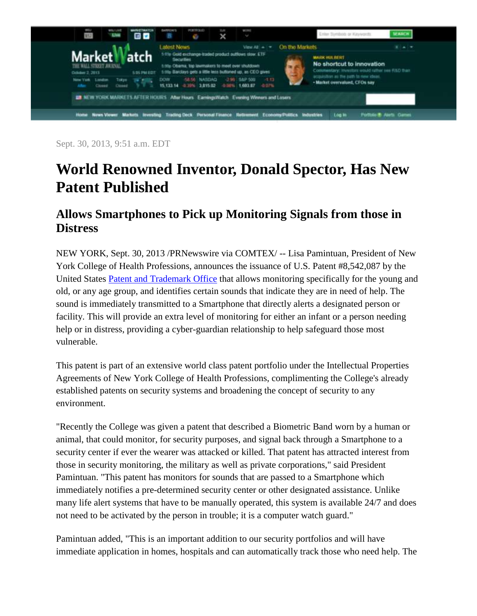

Sept. 30, 2013, 9:51 a.m. EDT

## **World Renowned Inventor, Donald Spector, Has New Patent Published**

## **Allows Smartphones to Pick up Monitoring Signals from those in Distress**

NEW YORK, Sept. 30, 2013 /PRNewswire via COMTEX/ -- Lisa Pamintuan, President of New York College of Health Professions, announces the issuance of U.S. Patent #8,542,087 by the United States [Patent and Trademark Office](http://www.marketwatch.com/organizations/Patent_and_Trademark_office?lc=int_mb_1001) that allows monitoring specifically for the young and old, or any age group, and identifies certain sounds that indicate they are in need of help. The sound is immediately transmitted to a Smartphone that directly alerts a designated person or facility. This will provide an extra level of monitoring for either an infant or a person needing help or in distress, providing a cyber-guardian relationship to help safeguard those most vulnerable.

This patent is part of an extensive world class patent portfolio under the Intellectual Properties Agreements of New York College of Health Professions, complimenting the College's already established patents on security systems and broadening the concept of security to any environment.

"Recently the College was given a patent that described a Biometric Band worn by a human or animal, that could monitor, for security purposes, and signal back through a Smartphone to a security center if ever the wearer was attacked or killed. That patent has attracted interest from those in security monitoring, the military as well as private corporations," said President Pamintuan. "This patent has monitors for sounds that are passed to a Smartphone which immediately notifies a pre-determined security center or other designated assistance. Unlike many life alert systems that have to be manually operated, this system is available 24/7 and does not need to be activated by the person in trouble; it is a computer watch guard."

Pamintuan added, "This is an important addition to our security portfolios and will have immediate application in homes, hospitals and can automatically track those who need help. The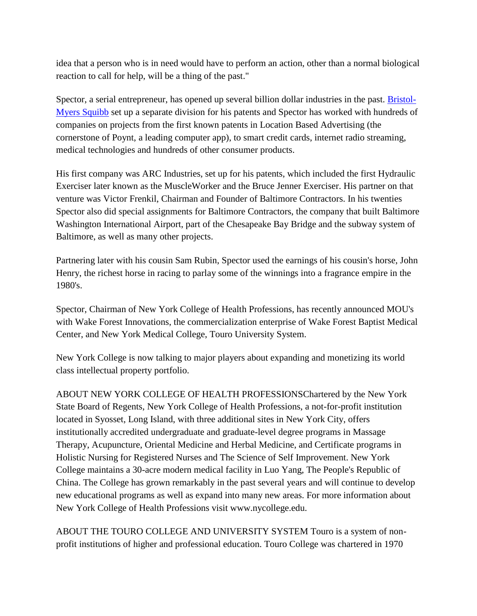idea that a person who is in need would have to perform an action, other than a normal biological reaction to call for help, will be a thing of the past."

Spector, a serial entrepreneur, has opened up several billion dollar industries in the past. [Bristol-](http://www.marketwatch.com/companies/Bristol_Myers_Squibb?lc=int_mb_1001)[Myers Squibb](http://www.marketwatch.com/companies/Bristol_Myers_Squibb?lc=int_mb_1001) set up a separate division for his patents and Spector has worked with hundreds of companies on projects from the first known patents in Location Based Advertising (the cornerstone of Poynt, a leading computer app), to smart credit cards, internet radio streaming, medical technologies and hundreds of other consumer products.

His first company was ARC Industries, set up for his patents, which included the first Hydraulic Exerciser later known as the MuscleWorker and the Bruce Jenner Exerciser. His partner on that venture was Victor Frenkil, Chairman and Founder of Baltimore Contractors. In his twenties Spector also did special assignments for Baltimore Contractors, the company that built Baltimore Washington International Airport, part of the Chesapeake Bay Bridge and the subway system of Baltimore, as well as many other projects.

Partnering later with his cousin Sam Rubin, Spector used the earnings of his cousin's horse, John Henry, the richest horse in racing to parlay some of the winnings into a fragrance empire in the 1980's.

Spector, Chairman of New York College of Health Professions, has recently announced MOU's with Wake Forest Innovations, the commercialization enterprise of Wake Forest Baptist Medical Center, and New York Medical College, Touro University System.

New York College is now talking to major players about expanding and monetizing its world class intellectual property portfolio.

ABOUT NEW YORK COLLEGE OF HEALTH PROFESSIONSChartered by the New York State Board of Regents, New York College of Health Professions, a not-for-profit institution located in Syosset, Long Island, with three additional sites in New York City, offers institutionally accredited undergraduate and graduate-level degree programs in Massage Therapy, Acupuncture, Oriental Medicine and Herbal Medicine, and Certificate programs in Holistic Nursing for Registered Nurses and The Science of Self Improvement. New York College maintains a 30-acre modern medical facility in Luo Yang, The People's Republic of China. The College has grown remarkably in the past several years and will continue to develop new educational programs as well as expand into many new areas. For more information about New York College of Health Professions visit www.nycollege.edu.

ABOUT THE TOURO COLLEGE AND UNIVERSITY SYSTEM Touro is a system of nonprofit institutions of higher and professional education. Touro College was chartered in 1970